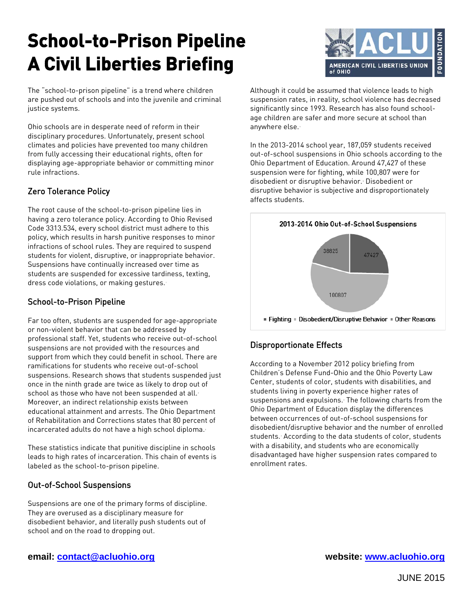# **School-to-Prison Pipeline A Civil Liberties Briefing**

The "school-to-prison pipeline" is a trend where children are pushed out of schools and into the juvenile and criminal justice systems.

Ohio schools are in desperate need of reform in their disciplinary procedures. Unfortunately, present school climates and policies have prevented too many children from fully accessing their educational rights, often for displaying age-appropriate behavior or committing minor rule infractions.

# Zero Tolerance Policy

The root cause of the school-to-prison pipeline lies in having a zero tolerance policy. According to Ohio Revised Code 3313.534, every school district must adhere to this policy, which results in harsh punitive responses to minor infractions of school rules. They are required to suspend students for violent, disruptive, or inappropriate behavior. Suspensions have continually increased over time as students are suspended for excessive tardiness, texting, dress code violations, or making gestures.

## School-to-Prison Pipeline

Far too often, students are suspended for age-appropriate or non-violent behavior that can be addressed by professional staff. Yet, students who receive out-of-school suspensions are not provided with the resources and support from which they could benefit in school. There are ramifications for students who receive out-of-school suspensions. Research shows that students suspended just once in the ninth grade are twice as likely to drop out of school as those who have not been suspended at all.<sup>[2](#page-1-1)</sup> Moreover, an indirect relationship exists between educational attainment and arrests. The Ohio Department of Rehabilitation and Corrections states that 80 percent of incarcerated adults do not have a high school diploma.

These statistics indicate that punitive discipline in schools leads to high rates of incarceration. This chain of events is labeled as the school-to-prison pipeline.

## Out-of-School Suspensions

Suspensions are one of the primary forms of discipline. They are overused as a disciplinary measure for disobedient behavior, and literally push students out of school and on the road to dropping out.



Although it could be assumed that violence leads to high suspension rates, in reality, school violence has decreased significantly since 1993. Research has also found schoolage children are safer and more secure at school than anywhere else.

In the 2013-2014 school year, 187,059 students received out-of-school suspensions in Ohio schools according to the Ohio Department of Education. Around 47,427 of these suspension were for fighting, while 100,807 were for disobedient or disruptive behavior. Disobedient or disruptive behavior is subjective and disproportionately affects students.



# Disproportionate Effects

According to a November 2012 policy briefing from Children's Defense Fund-Ohio and the Ohio Poverty Law Center, students of color, students with disabilities, and students living in poverty experience higher rates of suspensions and expulsions. The following charts from the Ohio Department of Education display the differences between occurrences of out-of-school suspensions for disobedient/disruptive behavior and the number of enrolled students. [7](#page-1-6) According to the data students of color, students with a disability, and students who are economically disadvantaged have higher suspension rates compared to enrollment rates.